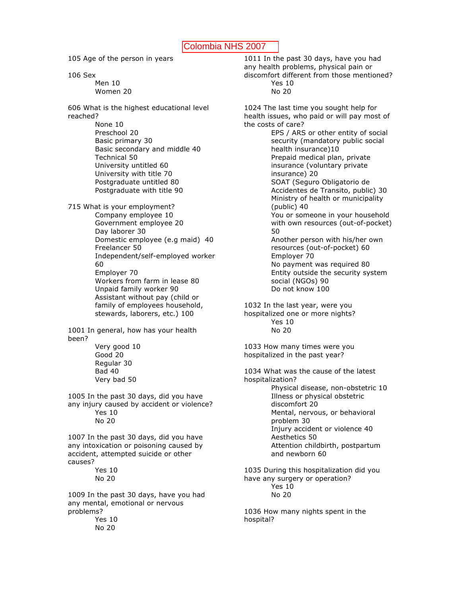105 Age of the person in years

106 Sex

Men 10 Women 20

606 What is the highest educational level reached? None 10

Preschool 20 Basic primary 30 Basic secondary and middle 40 Technical 50 University untitled 60 University with title 70 Postgraduate untitled 80 Postgraduate with title 90

715 What is your employment? Company employee 10 Government employee 20 Day laborer 30 Domestic employee (e.g maid) 40 Freelancer 50 Independent/self-employed worker 60 Employer 70 Workers from farm in lease 80 Unpaid family worker 90 Assistant without pay (child or family of employees household, stewards, laborers, etc.) 100

1001 In general, how has your health been?

> Very good 10 Good 20 Regular 30 Bad 40 Very bad 50

1005 In the past 30 days, did you have any injury caused by accident or violence? Yes 10 No 20

1007 In the past 30 days, did you have any intoxication or poisoning caused by accident, attempted suicide or other causes?

Yes 10 No 20

1009 In the past 30 days, have you had any mental, emotional or nervous problems? Yes 10

No 20

1011 In the past 30 days, have you had any health problems, physical pain or discomfort different from those mentioned?

Yes 10 No 20

1024 The last time you sought help for health issues, who paid or will pay most of the costs of care?

EPS / ARS or other entity of social security (mandatory public social health insurance)10 Prepaid medical plan, private insurance (voluntary private insurance) 20 SOAT (Seguro Obligatorio de Accidentes de Transito, public) 30 Ministry of health or municipality (public) 40 You or someone in your household with own resources (out-of-pocket) 50 Another person with his/her own resources (out-of-pocket) 60 Employer 70 No payment was required 80 Entity outside the security system social (NGOs) 90 Do not know 100

1032 In the last year, were you hospitalized one or more nights? Yes 10 No 20

1033 How many times were you hospitalized in the past year?

1034 What was the cause of the latest hospitalization? Physical disease, non-obstetric 10 Illness or physical obstetric discomfort 20 Mental, nervous, or behavioral problem 30 Injury accident or violence 40 Aesthetics 50 Attention childbirth, postpartum and newborn 60 1035 During this hospitalization did you

have any surgery or operation? Yes 10 No 20

1036 How many nights spent in the hospital?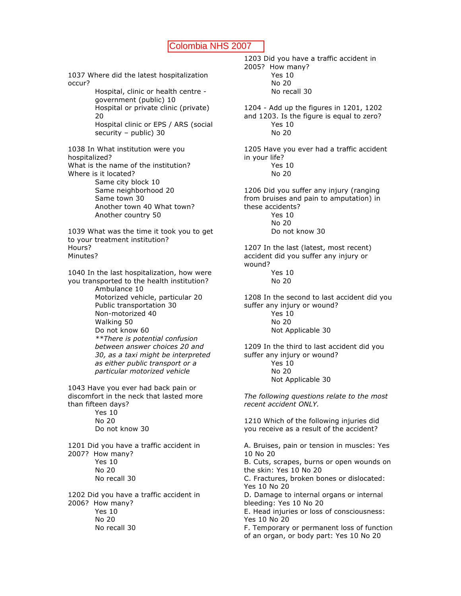1037 Where did the latest hospitalization occur? Hospital, clinic or health centre government (public) 10 Hospital or private clinic (private) 20 Hospital clinic or EPS / ARS (social security – public) 30 1038 In What institution were you hospitalized? What is the name of the institution? Where is it located? Same city block 10 Same neighborhood 20 Same town 30 Another town 40 What town? Another country 50 1039 What was the time it took you to get to your treatment institution? Hours? Minutes? 1040 In the last hospitalization, how were you transported to the health institution? Ambulance 10 Motorized vehicle, particular 20 Public transportation 30 Non-motorized 40 Walking 50 Do not know 60 *\*\*There is potential confusion between answer choices 20 and 30, as a taxi might be interpreted as either public transport or a particular motorized vehicle* 1043 Have you ever had back pain or discomfort in the neck that lasted more than fifteen days? Yes 10 No 20 Do not know 30 1201 Did you have a traffic accident in 2007? How many? Yes 10 No 20 No recall 30 1202 Did you have a traffic accident in 2006? How many? Yes 10 No 20 No recall 30

2005? How many? Yes 10 No 20 No recall 30 1204 - Add up the figures in 1201, 1202 and 1203. Is the figure is equal to zero? Yes 10 No 20 1205 Have you ever had a traffic accident in your life? Yes 10 No 20 1206 Did you suffer any injury (ranging from bruises and pain to amputation) in these accidents? Yes 10 No 20 Do not know 30 1207 In the last (latest, most recent) accident did you suffer any injury or wound? Yes 10 No 20 1208 In the second to last accident did you suffer any injury or wound? Yes 10 No 20 Not Applicable 30 1209 In the third to last accident did you suffer any injury or wound? Yes 10 No 20 Not Applicable 30 *The following questions relate to the most recent accident ONLY.* 1210 Which of the following injuries did you receive as a result of the accident? A. Bruises, pain or tension in muscles: Yes 10 No 20 B. Cuts, scrapes, burns or open wounds on the skin: Yes 10 No 20 C. Fractures, broken bones or dislocated: Yes 10 No 20 D. Damage to internal organs or internal bleeding: Yes 10 No 20 E. Head injuries or loss of consciousness: Yes 10 No 20 F. Temporary or permanent loss of function of an organ, or body part: Yes 10 No 20

1203 Did you have a traffic accident in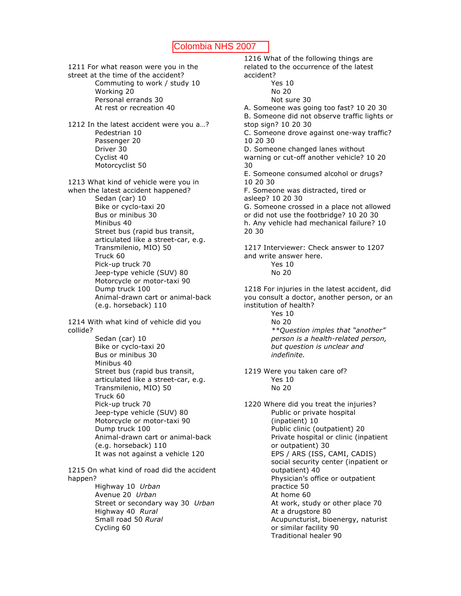1211 For what reason were you in the street at the time of the accident? Commuting to work / study 10 Working 20 Personal errands 30 At rest or recreation 40 1212 In the latest accident were you a…? Pedestrian 10 Passenger 20 Driver 30 Cyclist 40 Motorcyclist 50 1213 What kind of vehicle were you in when the latest accident happened? Sedan (car) 10 Bike or cyclo-taxi 20 Bus or minibus 30 Minibus 40 Street bus (rapid bus transit, articulated like a street-car, e.g. Transmilenio, MIO) 50 Truck 60 Pick-up truck 70 Jeep-type vehicle (SUV) 80 Motorcycle or motor-taxi 90 Dump truck 100 Animal-drawn cart or animal-back (e.g. horseback) 110 1214 With what kind of vehicle did you collide? Sedan (car) 10 Bike or cyclo-taxi 20 Bus or minibus 30 Minibus 40 Street bus (rapid bus transit,

articulated like a street-car, e.g. Transmilenio, MIO) 50 Truck 60 Pick-up truck 70 Jeep-type vehicle (SUV) 80 Motorcycle or motor-taxi 90 Dump truck 100 Animal-drawn cart or animal-back (e.g. horseback) 110 It was not against a vehicle 120

1215 On what kind of road did the accident happen?

> Highway 10 *Urban* Avenue 20 *Urban* Street or secondary way 30 *Urban* Highway 40 *Rural* Small road 50 *Rural* Cycling 60

1216 What of the following things are related to the occurrence of the latest accident? Yes 10 No 20 Not sure 30 A. Someone was going too fast? 10 20 30 B. Someone did not observe traffic lights or stop sign? 10 20 30 C. Someone drove against one-way traffic? 10 20 30 D. Someone changed lanes without warning or cut-off another vehicle? 10 20 30 E. Someone consumed alcohol or drugs? 10 20 30 F. Someone was distracted, tired or asleep? 10 20 30 G. Someone crossed in a place not allowed or did not use the footbridge? 10 20 30 h. Any vehicle had mechanical failure? 10 20 30 1217 Interviewer: Check answer to 1207 and write answer here. Yes 10 No 20 1218 For injuries in the latest accident, did you consult a doctor, another person, or an institution of health? Yes 10 No 20 *\*\*Question imples that "another" person is a health-related person, but question is unclear and indefinite.* 1219 Were you taken care of? Yes 10 No 20 1220 Where did you treat the injuries? Public or private hospital (inpatient) 10 Public clinic (outpatient) 20 Private hospital or clinic (inpatient or outpatient) 30 EPS / ARS (ISS, CAMI, CADIS) social security center (inpatient or outpatient) 40 Physician's office or outpatient practice 50 At home 60 At work, study or other place 70 At a drugstore 80 Acupuncturist, bioenergy, naturist or similar facility 90 Traditional healer 90